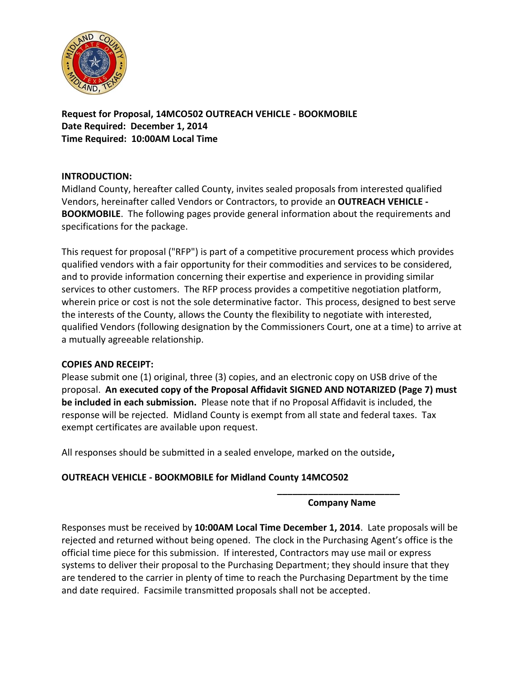

**Request for Proposal, 14MCO502 OUTREACH VEHICLE - BOOKMOBILE Date Required: December 1, 2014 Time Required: 10:00AM Local Time**

### **INTRODUCTION:**

Midland County, hereafter called County, invites sealed proposals from interested qualified Vendors, hereinafter called Vendors or Contractors, to provide an **OUTREACH VEHICLE - BOOKMOBILE**. The following pages provide general information about the requirements and specifications for the package.

This request for proposal ("RFP") is part of a competitive procurement process which provides qualified vendors with a fair opportunity for their commodities and services to be considered, and to provide information concerning their expertise and experience in providing similar services to other customers. The RFP process provides a competitive negotiation platform, wherein price or cost is not the sole determinative factor. This process, designed to best serve the interests of the County, allows the County the flexibility to negotiate with interested, qualified Vendors (following designation by the Commissioners Court, one at a time) to arrive at a mutually agreeable relationship.

#### **COPIES AND RECEIPT:**

Please submit one (1) original, three (3) copies, and an electronic copy on USB drive of the proposal. **An executed copy of the Proposal Affidavit SIGNED AND NOTARIZED (Page 7) must be included in each submission.** Please note that if no Proposal Affidavit is included, the response will be rejected. Midland County is exempt from all state and federal taxes. Tax exempt certificates are available upon request.

All responses should be submitted in a sealed envelope, marked on the outside**,** 

# **OUTREACH VEHICLE - BOOKMOBILE for Midland County 14MCO502**

#### **\_\_\_\_\_\_\_\_\_\_\_\_\_\_\_\_\_\_\_\_\_\_\_\_ Company Name**

Responses must be received by **10:00AM Local Time December 1, 2014**. Late proposals will be rejected and returned without being opened. The clock in the Purchasing Agent's office is the official time piece for this submission. If interested, Contractors may use mail or express systems to deliver their proposal to the Purchasing Department; they should insure that they are tendered to the carrier in plenty of time to reach the Purchasing Department by the time and date required. Facsimile transmitted proposals shall not be accepted.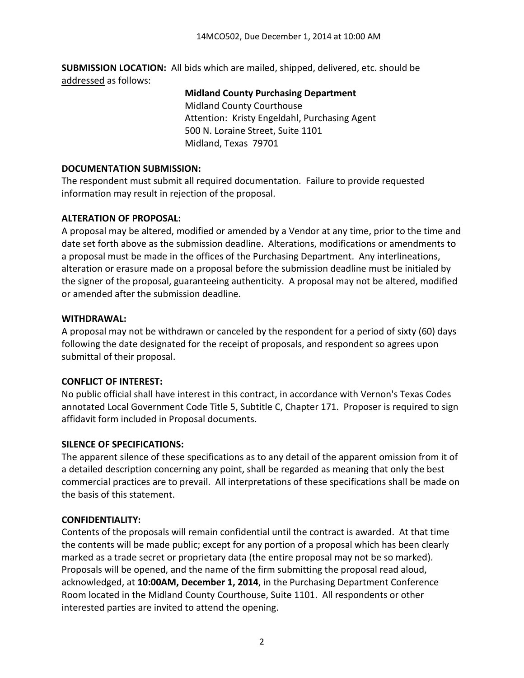**SUBMISSION LOCATION:** All bids which are mailed, shipped, delivered, etc. should be addressed as follows:

### **Midland County Purchasing Department**

Midland County Courthouse Attention: Kristy Engeldahl, Purchasing Agent 500 N. Loraine Street, Suite 1101 Midland, Texas 79701

### **DOCUMENTATION SUBMISSION:**

The respondent must submit all required documentation. Failure to provide requested information may result in rejection of the proposal.

# **ALTERATION OF PROPOSAL:**

A proposal may be altered, modified or amended by a Vendor at any time, prior to the time and date set forth above as the submission deadline. Alterations, modifications or amendments to a proposal must be made in the offices of the Purchasing Department. Any interlineations, alteration or erasure made on a proposal before the submission deadline must be initialed by the signer of the proposal, guaranteeing authenticity. A proposal may not be altered, modified or amended after the submission deadline.

# **WITHDRAWAL:**

A proposal may not be withdrawn or canceled by the respondent for a period of sixty (60) days following the date designated for the receipt of proposals, and respondent so agrees upon submittal of their proposal.

# **CONFLICT OF INTEREST:**

No public official shall have interest in this contract, in accordance with Vernon's Texas Codes annotated Local Government Code Title 5, Subtitle C, Chapter 171. Proposer is required to sign affidavit form included in Proposal documents.

# **SILENCE OF SPECIFICATIONS:**

The apparent silence of these specifications as to any detail of the apparent omission from it of a detailed description concerning any point, shall be regarded as meaning that only the best commercial practices are to prevail. All interpretations of these specifications shall be made on the basis of this statement.

# **CONFIDENTIALITY:**

Contents of the proposals will remain confidential until the contract is awarded. At that time the contents will be made public; except for any portion of a proposal which has been clearly marked as a trade secret or proprietary data (the entire proposal may not be so marked). Proposals will be opened, and the name of the firm submitting the proposal read aloud, acknowledged, at **10:00AM, December 1, 2014**, in the Purchasing Department Conference Room located in the Midland County Courthouse, Suite 1101. All respondents or other interested parties are invited to attend the opening.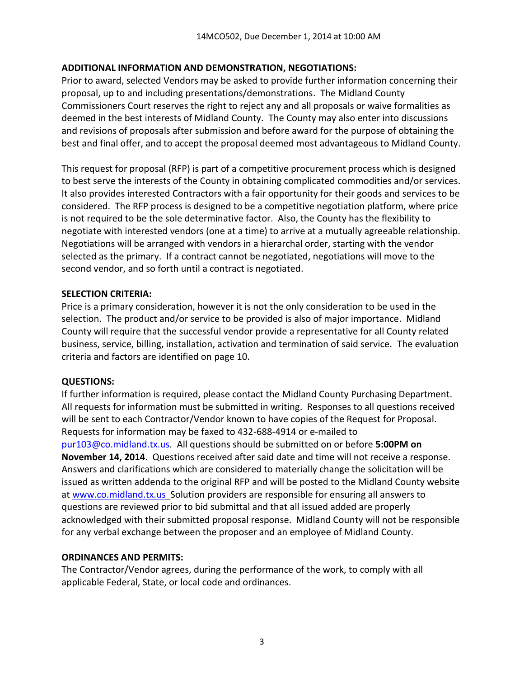### **ADDITIONAL INFORMATION AND DEMONSTRATION, NEGOTIATIONS:**

Prior to award, selected Vendors may be asked to provide further information concerning their proposal, up to and including presentations/demonstrations. The Midland County Commissioners Court reserves the right to reject any and all proposals or waive formalities as deemed in the best interests of Midland County. The County may also enter into discussions and revisions of proposals after submission and before award for the purpose of obtaining the best and final offer, and to accept the proposal deemed most advantageous to Midland County.

This request for proposal (RFP) is part of a competitive procurement process which is designed to best serve the interests of the County in obtaining complicated commodities and/or services. It also provides interested Contractors with a fair opportunity for their goods and services to be considered. The RFP process is designed to be a competitive negotiation platform, where price is not required to be the sole determinative factor. Also, the County has the flexibility to negotiate with interested vendors (one at a time) to arrive at a mutually agreeable relationship. Negotiations will be arranged with vendors in a hierarchal order, starting with the vendor selected as the primary. If a contract cannot be negotiated, negotiations will move to the second vendor, and so forth until a contract is negotiated.

### **SELECTION CRITERIA:**

Price is a primary consideration, however it is not the only consideration to be used in the selection. The product and/or service to be provided is also of major importance. Midland County will require that the successful vendor provide a representative for all County related business, service, billing, installation, activation and termination of said service. The evaluation criteria and factors are identified on page 10.

# **QUESTIONS:**

If further information is required, please contact the Midland County Purchasing Department. All requests for information must be submitted in writing. Responses to all questions received will be sent to each Contractor/Vendor known to have copies of the Request for Proposal. Requests for information may be faxed to 432-688-4914 or e-mailed to [pur103@co.midland.tx.us.](mailto:pur103@co.midland.tx.us) All questions should be submitted on or before **5:00PM on November 14, 2014**. Questions received after said date and time will not receive a response. Answers and clarifications which are considered to materially change the solicitation will be issued as written addenda to the original RFP and will be posted to the Midland County website at [www.co.midland.tx.us](http://www.co.midland.tx.us/) Solution providers are responsible for ensuring all answers to questions are reviewed prior to bid submittal and that all issued added are properly acknowledged with their submitted proposal response. Midland County will not be responsible for any verbal exchange between the proposer and an employee of Midland County.

#### **ORDINANCES AND PERMITS:**

The Contractor/Vendor agrees, during the performance of the work, to comply with all applicable Federal, State, or local code and ordinances.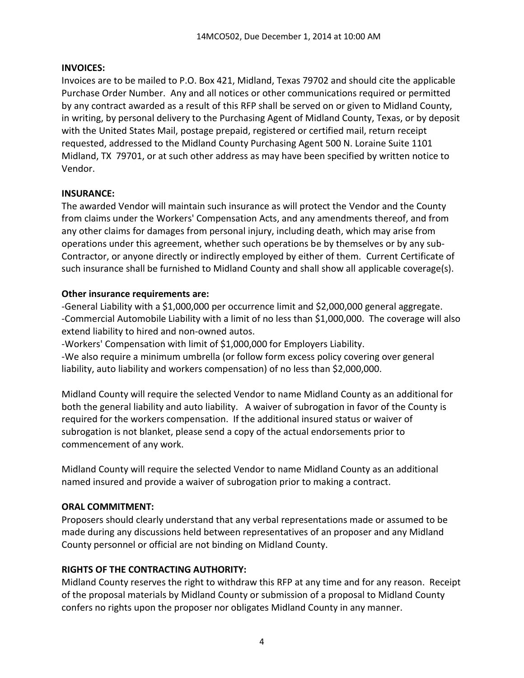### **INVOICES:**

Invoices are to be mailed to P.O. Box 421, Midland, Texas 79702 and should cite the applicable Purchase Order Number. Any and all notices or other communications required or permitted by any contract awarded as a result of this RFP shall be served on or given to Midland County, in writing, by personal delivery to the Purchasing Agent of Midland County, Texas, or by deposit with the United States Mail, postage prepaid, registered or certified mail, return receipt requested, addressed to the Midland County Purchasing Agent 500 N. Loraine Suite 1101 Midland, TX 79701, or at such other address as may have been specified by written notice to Vendor.

#### **INSURANCE:**

The awarded Vendor will maintain such insurance as will protect the Vendor and the County from claims under the Workers' Compensation Acts, and any amendments thereof, and from any other claims for damages from personal injury, including death, which may arise from operations under this agreement, whether such operations be by themselves or by any sub-Contractor, or anyone directly or indirectly employed by either of them. Current Certificate of such insurance shall be furnished to Midland County and shall show all applicable coverage(s).

### **Other insurance requirements are:**

-General Liability with a \$1,000,000 per occurrence limit and \$2,000,000 general aggregate. -Commercial Automobile Liability with a limit of no less than \$1,000,000. The coverage will also extend liability to hired and non-owned autos.

-Workers' Compensation with limit of \$1,000,000 for Employers Liability. -We also require a minimum umbrella (or follow form excess policy covering over general liability, auto liability and workers compensation) of no less than \$2,000,000.

Midland County will require the selected Vendor to name Midland County as an additional for both the general liability and auto liability. A waiver of subrogation in favor of the County is required for the workers compensation. If the additional insured status or waiver of subrogation is not blanket, please send a copy of the actual endorsements prior to commencement of any work.

Midland County will require the selected Vendor to name Midland County as an additional named insured and provide a waiver of subrogation prior to making a contract.

# **ORAL COMMITMENT:**

Proposers should clearly understand that any verbal representations made or assumed to be made during any discussions held between representatives of an proposer and any Midland County personnel or official are not binding on Midland County.

# **RIGHTS OF THE CONTRACTING AUTHORITY:**

Midland County reserves the right to withdraw this RFP at any time and for any reason. Receipt of the proposal materials by Midland County or submission of a proposal to Midland County confers no rights upon the proposer nor obligates Midland County in any manner.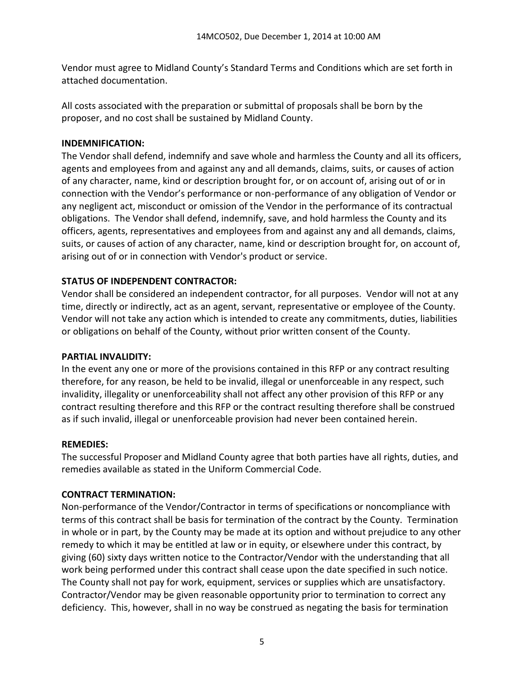Vendor must agree to Midland County's Standard Terms and Conditions which are set forth in attached documentation.

All costs associated with the preparation or submittal of proposals shall be born by the proposer, and no cost shall be sustained by Midland County.

### **INDEMNIFICATION:**

The Vendor shall defend, indemnify and save whole and harmless the County and all its officers, agents and employees from and against any and all demands, claims, suits, or causes of action of any character, name, kind or description brought for, or on account of, arising out of or in connection with the Vendor's performance or non-performance of any obligation of Vendor or any negligent act, misconduct or omission of the Vendor in the performance of its contractual obligations. The Vendor shall defend, indemnify, save, and hold harmless the County and its officers, agents, representatives and employees from and against any and all demands, claims, suits, or causes of action of any character, name, kind or description brought for, on account of, arising out of or in connection with Vendor's product or service.

# **STATUS OF INDEPENDENT CONTRACTOR:**

Vendor shall be considered an independent contractor, for all purposes. Vendor will not at any time, directly or indirectly, act as an agent, servant, representative or employee of the County. Vendor will not take any action which is intended to create any commitments, duties, liabilities or obligations on behalf of the County, without prior written consent of the County.

#### **PARTIAL INVALIDITY:**

In the event any one or more of the provisions contained in this RFP or any contract resulting therefore, for any reason, be held to be invalid, illegal or unenforceable in any respect, such invalidity, illegality or unenforceability shall not affect any other provision of this RFP or any contract resulting therefore and this RFP or the contract resulting therefore shall be construed as if such invalid, illegal or unenforceable provision had never been contained herein.

#### **REMEDIES:**

The successful Proposer and Midland County agree that both parties have all rights, duties, and remedies available as stated in the Uniform Commercial Code.

# **CONTRACT TERMINATION:**

Non-performance of the Vendor/Contractor in terms of specifications or noncompliance with terms of this contract shall be basis for termination of the contract by the County. Termination in whole or in part, by the County may be made at its option and without prejudice to any other remedy to which it may be entitled at law or in equity, or elsewhere under this contract, by giving (60) sixty days written notice to the Contractor/Vendor with the understanding that all work being performed under this contract shall cease upon the date specified in such notice. The County shall not pay for work, equipment, services or supplies which are unsatisfactory. Contractor/Vendor may be given reasonable opportunity prior to termination to correct any deficiency. This, however, shall in no way be construed as negating the basis for termination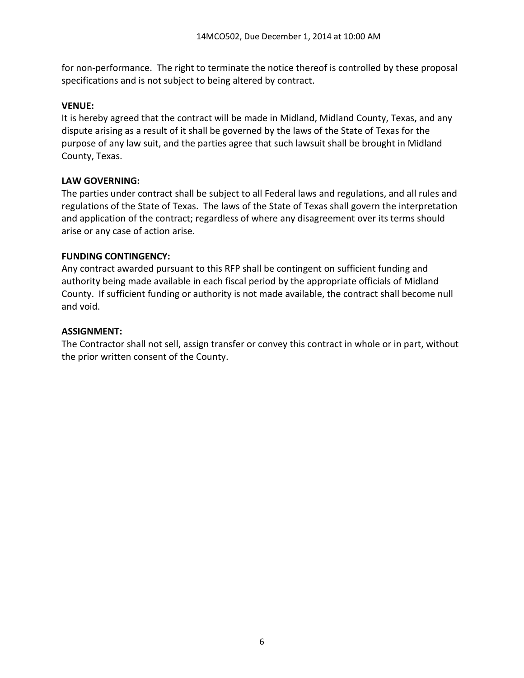for non-performance. The right to terminate the notice thereof is controlled by these proposal specifications and is not subject to being altered by contract.

### **VENUE:**

It is hereby agreed that the contract will be made in Midland, Midland County, Texas, and any dispute arising as a result of it shall be governed by the laws of the State of Texas for the purpose of any law suit, and the parties agree that such lawsuit shall be brought in Midland County, Texas.

### **LAW GOVERNING:**

The parties under contract shall be subject to all Federal laws and regulations, and all rules and regulations of the State of Texas. The laws of the State of Texas shall govern the interpretation and application of the contract; regardless of where any disagreement over its terms should arise or any case of action arise.

### **FUNDING CONTINGENCY:**

Any contract awarded pursuant to this RFP shall be contingent on sufficient funding and authority being made available in each fiscal period by the appropriate officials of Midland County. If sufficient funding or authority is not made available, the contract shall become null and void.

### **ASSIGNMENT:**

The Contractor shall not sell, assign transfer or convey this contract in whole or in part, without the prior written consent of the County.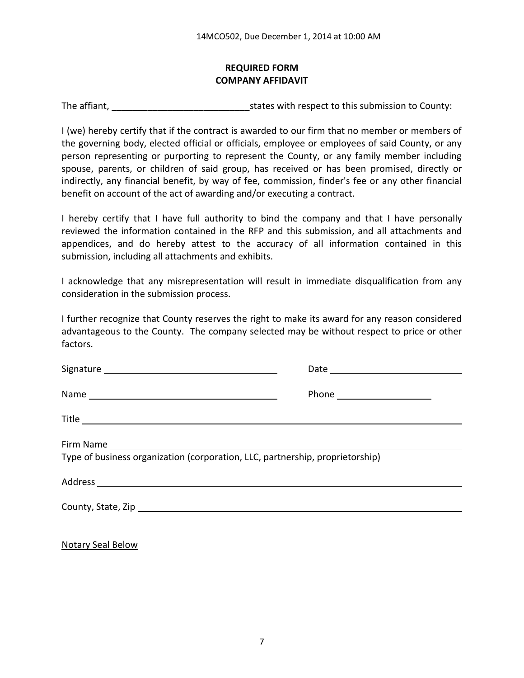# **REQUIRED FORM COMPANY AFFIDAVIT**

The affiant, The affiant,  $\frac{1}{2}$  is tates with respect to this submission to County:

I (we) hereby certify that if the contract is awarded to our firm that no member or members of the governing body, elected official or officials, employee or employees of said County, or any person representing or purporting to represent the County, or any family member including spouse, parents, or children of said group, has received or has been promised, directly or indirectly, any financial benefit, by way of fee, commission, finder's fee or any other financial benefit on account of the act of awarding and/or executing a contract.

I hereby certify that I have full authority to bind the company and that I have personally reviewed the information contained in the RFP and this submission, and all attachments and appendices, and do hereby attest to the accuracy of all information contained in this submission, including all attachments and exhibits.

I acknowledge that any misrepresentation will result in immediate disqualification from any consideration in the submission process.

I further recognize that County reserves the right to make its award for any reason considered advantageous to the County. The company selected may be without respect to price or other factors.

|                                                                               | Phone ________________________ |
|-------------------------------------------------------------------------------|--------------------------------|
|                                                                               |                                |
| Type of business organization (corporation, LLC, partnership, proprietorship) |                                |
|                                                                               |                                |
|                                                                               |                                |

Notary Seal Below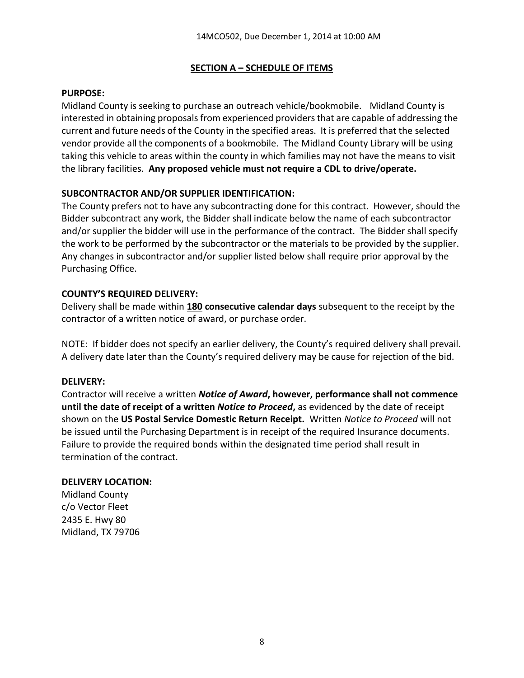### **SECTION A – SCHEDULE OF ITEMS**

#### **PURPOSE:**

Midland County is seeking to purchase an outreach vehicle/bookmobile. Midland County is interested in obtaining proposals from experienced providers that are capable of addressing the current and future needs of the County in the specified areas. It is preferred that the selected vendor provide all the components of a bookmobile. The Midland County Library will be using taking this vehicle to areas within the county in which families may not have the means to visit the library facilities. **Any proposed vehicle must not require a CDL to drive/operate.**

### **SUBCONTRACTOR AND/OR SUPPLIER IDENTIFICATION:**

The County prefers not to have any subcontracting done for this contract. However, should the Bidder subcontract any work, the Bidder shall indicate below the name of each subcontractor and/or supplier the bidder will use in the performance of the contract. The Bidder shall specify the work to be performed by the subcontractor or the materials to be provided by the supplier. Any changes in subcontractor and/or supplier listed below shall require prior approval by the Purchasing Office.

### **COUNTY'S REQUIRED DELIVERY:**

Delivery shall be made within **180 consecutive calendar days** subsequent to the receipt by the contractor of a written notice of award, or purchase order.

NOTE: If bidder does not specify an earlier delivery, the County's required delivery shall prevail. A delivery date later than the County's required delivery may be cause for rejection of the bid.

#### **DELIVERY:**

Contractor will receive a written *Notice of Award***, however, performance shall not commence until the date of receipt of a written** *Notice to Proceed***,** as evidenced by the date of receipt shown on the **US Postal Service Domestic Return Receipt.** Written *Notice to Proceed* will not be issued until the Purchasing Department is in receipt of the required Insurance documents. Failure to provide the required bonds within the designated time period shall result in termination of the contract.

#### **DELIVERY LOCATION:**

Midland County c/o Vector Fleet 2435 E. Hwy 80 Midland, TX 79706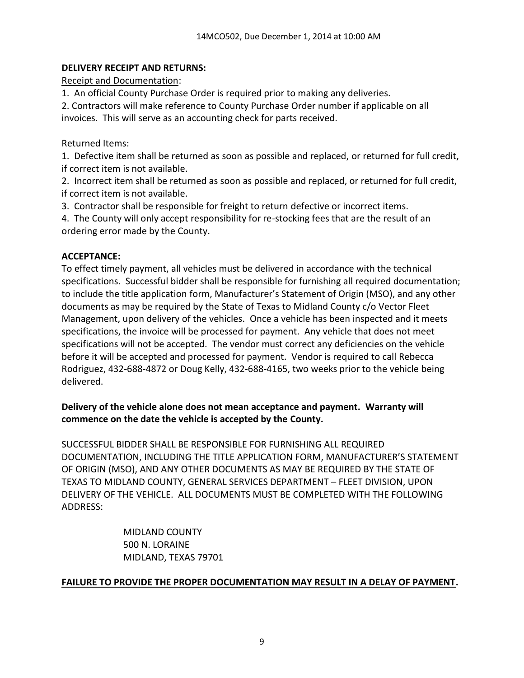# **DELIVERY RECEIPT AND RETURNS:**

Receipt and Documentation:

1. An official County Purchase Order is required prior to making any deliveries.

2. Contractors will make reference to County Purchase Order number if applicable on all invoices. This will serve as an accounting check for parts received.

# Returned Items:

1. Defective item shall be returned as soon as possible and replaced, or returned for full credit, if correct item is not available.

2. Incorrect item shall be returned as soon as possible and replaced, or returned for full credit, if correct item is not available.

3. Contractor shall be responsible for freight to return defective or incorrect items.

4. The County will only accept responsibility for re-stocking fees that are the result of an ordering error made by the County.

# **ACCEPTANCE:**

To effect timely payment, all vehicles must be delivered in accordance with the technical specifications. Successful bidder shall be responsible for furnishing all required documentation; to include the title application form, Manufacturer's Statement of Origin (MSO), and any other documents as may be required by the State of Texas to Midland County c/o Vector Fleet Management, upon delivery of the vehicles. Once a vehicle has been inspected and it meets specifications, the invoice will be processed for payment. Any vehicle that does not meet specifications will not be accepted. The vendor must correct any deficiencies on the vehicle before it will be accepted and processed for payment. Vendor is required to call Rebecca Rodriguez, 432-688-4872 or Doug Kelly, 432-688-4165, two weeks prior to the vehicle being delivered.

# **Delivery of the vehicle alone does not mean acceptance and payment. Warranty will commence on the date the vehicle is accepted by the County.**

SUCCESSFUL BIDDER SHALL BE RESPONSIBLE FOR FURNISHING ALL REQUIRED DOCUMENTATION, INCLUDING THE TITLE APPLICATION FORM, MANUFACTURER'S STATEMENT OF ORIGIN (MSO), AND ANY OTHER DOCUMENTS AS MAY BE REQUIRED BY THE STATE OF TEXAS TO MIDLAND COUNTY, GENERAL SERVICES DEPARTMENT – FLEET DIVISION, UPON DELIVERY OF THE VEHICLE. ALL DOCUMENTS MUST BE COMPLETED WITH THE FOLLOWING ADDRESS:

> MIDLAND COUNTY 500 N. LORAINE MIDLAND, TEXAS 79701

# **FAILURE TO PROVIDE THE PROPER DOCUMENTATION MAY RESULT IN A DELAY OF PAYMENT.**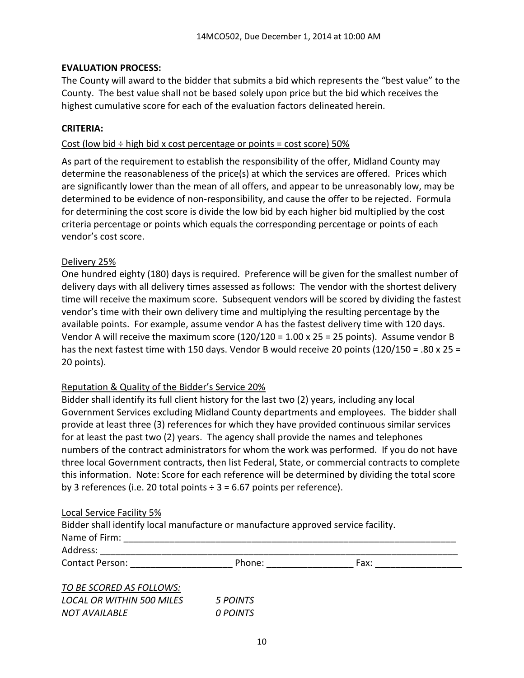### **EVALUATION PROCESS:**

The County will award to the bidder that submits a bid which represents the "best value" to the County. The best value shall not be based solely upon price but the bid which receives the highest cumulative score for each of the evaluation factors delineated herein.

#### **CRITERIA:**

#### Cost (low bid  $\div$  high bid x cost percentage or points = cost score) 50%

As part of the requirement to establish the responsibility of the offer, Midland County may determine the reasonableness of the price(s) at which the services are offered. Prices which are significantly lower than the mean of all offers, and appear to be unreasonably low, may be determined to be evidence of non-responsibility, and cause the offer to be rejected. Formula for determining the cost score is divide the low bid by each higher bid multiplied by the cost criteria percentage or points which equals the corresponding percentage or points of each vendor's cost score.

#### Delivery 25%

One hundred eighty (180) days is required. Preference will be given for the smallest number of delivery days with all delivery times assessed as follows: The vendor with the shortest delivery time will receive the maximum score. Subsequent vendors will be scored by dividing the fastest vendor's time with their own delivery time and multiplying the resulting percentage by the available points. For example, assume vendor A has the fastest delivery time with 120 days. Vendor A will receive the maximum score  $(120/120 = 1.00 \times 25 = 25$  points). Assume vendor B has the next fastest time with 150 days. Vendor B would receive 20 points (120/150 = .80 x 25 = 20 points).

#### Reputation & Quality of the Bidder's Service 20%

*NOT AVAILABLE 0 POINTS*

Bidder shall identify its full client history for the last two (2) years, including any local Government Services excluding Midland County departments and employees. The bidder shall provide at least three (3) references for which they have provided continuous similar services for at least the past two (2) years. The agency shall provide the names and telephones numbers of the contract administrators for whom the work was performed. If you do not have three local Government contracts, then list Federal, State, or commercial contracts to complete this information. Note: Score for each reference will be determined by dividing the total score by 3 references (i.e. 20 total points  $\div$  3 = 6.67 points per reference).

#### Local Service Facility 5%

| Bidder shall identify local manufacture or manufacture approved service facility. |          |      |  |
|-----------------------------------------------------------------------------------|----------|------|--|
| Name of Firm:                                                                     |          |      |  |
| Address:                                                                          |          |      |  |
| Contact Person: The Contact Person:                                               | Phone:   | Fax: |  |
| TO BE SCORED AS FOLLOWS:                                                          |          |      |  |
| <b>LOCAL OR WITHIN 500 MILES</b>                                                  | 5 POINTS |      |  |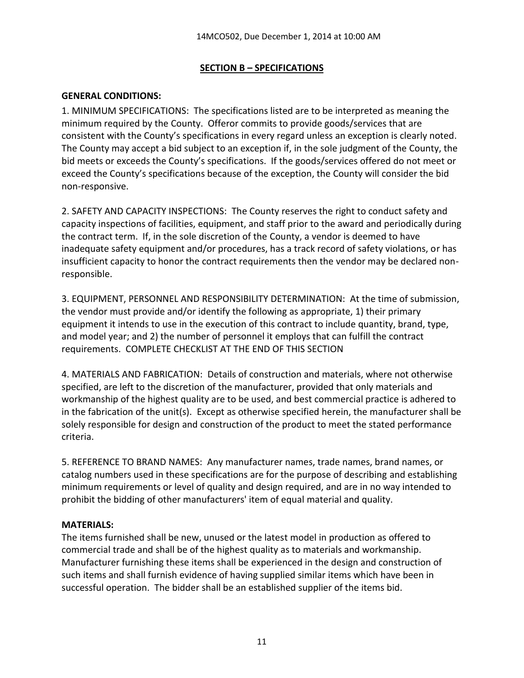### **SECTION B – SPECIFICATIONS**

### **GENERAL CONDITIONS:**

1. MINIMUM SPECIFICATIONS: The specifications listed are to be interpreted as meaning the minimum required by the County. Offeror commits to provide goods/services that are consistent with the County's specifications in every regard unless an exception is clearly noted. The County may accept a bid subject to an exception if, in the sole judgment of the County, the bid meets or exceeds the County's specifications. If the goods/services offered do not meet or exceed the County's specifications because of the exception, the County will consider the bid non-responsive.

2. SAFETY AND CAPACITY INSPECTIONS: The County reserves the right to conduct safety and capacity inspections of facilities, equipment, and staff prior to the award and periodically during the contract term. If, in the sole discretion of the County, a vendor is deemed to have inadequate safety equipment and/or procedures, has a track record of safety violations, or has insufficient capacity to honor the contract requirements then the vendor may be declared nonresponsible.

3. EQUIPMENT, PERSONNEL AND RESPONSIBILITY DETERMINATION: At the time of submission, the vendor must provide and/or identify the following as appropriate, 1) their primary equipment it intends to use in the execution of this contract to include quantity, brand, type, and model year; and 2) the number of personnel it employs that can fulfill the contract requirements. COMPLETE CHECKLIST AT THE END OF THIS SECTION

4. MATERIALS AND FABRICATION: Details of construction and materials, where not otherwise specified, are left to the discretion of the manufacturer, provided that only materials and workmanship of the highest quality are to be used, and best commercial practice is adhered to in the fabrication of the unit(s). Except as otherwise specified herein, the manufacturer shall be solely responsible for design and construction of the product to meet the stated performance criteria.

5. REFERENCE TO BRAND NAMES: Any manufacturer names, trade names, brand names, or catalog numbers used in these specifications are for the purpose of describing and establishing minimum requirements or level of quality and design required, and are in no way intended to prohibit the bidding of other manufacturers' item of equal material and quality.

#### **MATERIALS:**

The items furnished shall be new, unused or the latest model in production as offered to commercial trade and shall be of the highest quality as to materials and workmanship. Manufacturer furnishing these items shall be experienced in the design and construction of such items and shall furnish evidence of having supplied similar items which have been in successful operation. The bidder shall be an established supplier of the items bid.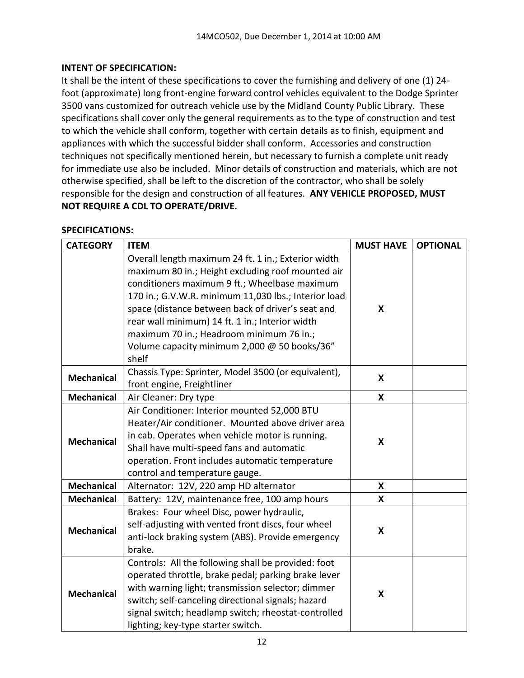# **INTENT OF SPECIFICATION:**

It shall be the intent of these specifications to cover the furnishing and delivery of one (1) 24 foot (approximate) long front-engine forward control vehicles equivalent to the Dodge Sprinter 3500 vans customized for outreach vehicle use by the Midland County Public Library. These specifications shall cover only the general requirements as to the type of construction and test to which the vehicle shall conform, together with certain details as to finish, equipment and appliances with which the successful bidder shall conform. Accessories and construction techniques not specifically mentioned herein, but necessary to furnish a complete unit ready for immediate use also be included. Minor details of construction and materials, which are not otherwise specified, shall be left to the discretion of the contractor, who shall be solely responsible for the design and construction of all features. **ANY VEHICLE PROPOSED, MUST NOT REQUIRE A CDL TO OPERATE/DRIVE.**

# **SPECIFICATIONS:**

| <b>CATEGORY</b>   | <b>ITEM</b>                                                                                                                                                                                                                                                                                                                                                                                                                    | <b>MUST HAVE</b>          | <b>OPTIONAL</b> |
|-------------------|--------------------------------------------------------------------------------------------------------------------------------------------------------------------------------------------------------------------------------------------------------------------------------------------------------------------------------------------------------------------------------------------------------------------------------|---------------------------|-----------------|
|                   | Overall length maximum 24 ft. 1 in.; Exterior width<br>maximum 80 in.; Height excluding roof mounted air<br>conditioners maximum 9 ft.; Wheelbase maximum<br>170 in.; G.V.W.R. minimum 11,030 lbs.; Interior load<br>space (distance between back of driver's seat and<br>rear wall minimum) 14 ft. 1 in.; Interior width<br>maximum 70 in.; Headroom minimum 76 in.;<br>Volume capacity minimum 2,000 @ 50 books/36"<br>shelf | X                         |                 |
| <b>Mechanical</b> | Chassis Type: Sprinter, Model 3500 (or equivalent),<br>front engine, Freightliner                                                                                                                                                                                                                                                                                                                                              | $\boldsymbol{\mathsf{x}}$ |                 |
| <b>Mechanical</b> | Air Cleaner: Dry type                                                                                                                                                                                                                                                                                                                                                                                                          | X                         |                 |
| <b>Mechanical</b> | Air Conditioner: Interior mounted 52,000 BTU<br>Heater/Air conditioner. Mounted above driver area<br>in cab. Operates when vehicle motor is running.<br>Shall have multi-speed fans and automatic<br>operation. Front includes automatic temperature<br>control and temperature gauge.                                                                                                                                         | $\boldsymbol{\mathsf{x}}$ |                 |
| <b>Mechanical</b> | Alternator: 12V, 220 amp HD alternator                                                                                                                                                                                                                                                                                                                                                                                         | X                         |                 |
| <b>Mechanical</b> | Battery: 12V, maintenance free, 100 amp hours                                                                                                                                                                                                                                                                                                                                                                                  | X                         |                 |
| <b>Mechanical</b> | Brakes: Four wheel Disc, power hydraulic,<br>self-adjusting with vented front discs, four wheel<br>anti-lock braking system (ABS). Provide emergency<br>brake.                                                                                                                                                                                                                                                                 | X                         |                 |
| <b>Mechanical</b> | Controls: All the following shall be provided: foot<br>operated throttle, brake pedal; parking brake lever<br>with warning light; transmission selector; dimmer<br>switch; self-canceling directional signals; hazard<br>signal switch; headlamp switch; rheostat-controlled<br>lighting; key-type starter switch.                                                                                                             | X                         |                 |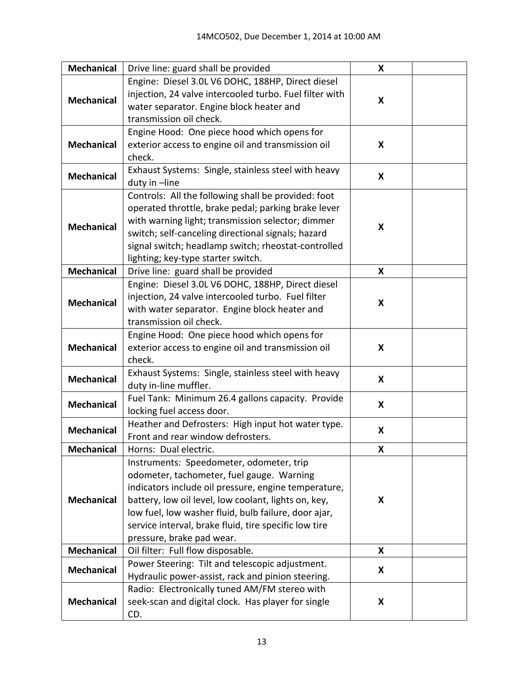| <b>Mechanical</b> | Drive line: guard shall be provided                     | X |  |
|-------------------|---------------------------------------------------------|---|--|
|                   | Engine: Diesel 3.0L V6 DOHC, 188HP, Direct diesel       |   |  |
| <b>Mechanical</b> | injection, 24 valve intercooled turbo. Fuel filter with | X |  |
|                   | water separator. Engine block heater and                |   |  |
|                   | transmission oil check.                                 |   |  |
|                   | Engine Hood: One piece hood which opens for             |   |  |
| <b>Mechanical</b> | exterior access to engine oil and transmission oil      | X |  |
|                   | check.                                                  |   |  |
| <b>Mechanical</b> | Exhaust Systems: Single, stainless steel with heavy     | X |  |
|                   | duty in -line                                           |   |  |
|                   | Controls: All the following shall be provided: foot     |   |  |
|                   | operated throttle, brake pedal; parking brake lever     |   |  |
| <b>Mechanical</b> | with warning light; transmission selector; dimmer       | X |  |
|                   | switch; self-canceling directional signals; hazard      |   |  |
|                   | signal switch; headlamp switch; rheostat-controlled     |   |  |
|                   | lighting; key-type starter switch.                      |   |  |
| <b>Mechanical</b> | Drive line: guard shall be provided                     | X |  |
|                   | Engine: Diesel 3.0L V6 DOHC, 188HP, Direct diesel       |   |  |
| <b>Mechanical</b> | injection, 24 valve intercooled turbo. Fuel filter      | X |  |
|                   | with water separator. Engine block heater and           |   |  |
|                   | transmission oil check.                                 |   |  |
|                   | Engine Hood: One piece hood which opens for             |   |  |
| <b>Mechanical</b> | exterior access to engine oil and transmission oil      | X |  |
|                   | check.                                                  |   |  |
| <b>Mechanical</b> | Exhaust Systems: Single, stainless steel with heavy     | X |  |
|                   | duty in-line muffler.                                   |   |  |
| <b>Mechanical</b> | Fuel Tank: Minimum 26.4 gallons capacity. Provide       | X |  |
|                   | locking fuel access door.                               |   |  |
| <b>Mechanical</b> | Heather and Defrosters: High input hot water type.      | X |  |
|                   | Front and rear window defrosters.                       |   |  |
| <b>Mechanical</b> | Horns: Dual electric.                                   | X |  |
|                   | Instruments: Speedometer, odometer, trip                |   |  |
|                   | odometer, tachometer, fuel gauge. Warning               |   |  |
|                   | indicators include oil pressure, engine temperature,    |   |  |
| <b>Mechanical</b> | battery, low oil level, low coolant, lights on, key,    | X |  |
|                   | low fuel, low washer fluid, bulb failure, door ajar,    |   |  |
|                   | service interval, brake fluid, tire specific low tire   |   |  |
|                   | pressure, brake pad wear.                               |   |  |
| <b>Mechanical</b> | Oil filter: Full flow disposable.                       | X |  |
| <b>Mechanical</b> | Power Steering: Tilt and telescopic adjustment.         | X |  |
|                   | Hydraulic power-assist, rack and pinion steering.       |   |  |
|                   | Radio: Electronically tuned AM/FM stereo with           |   |  |
| <b>Mechanical</b> | seek-scan and digital clock. Has player for single      | X |  |
|                   | CD.                                                     |   |  |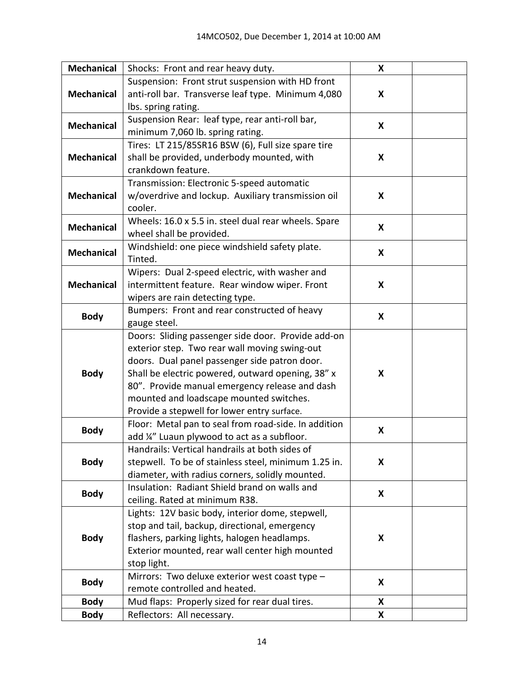| <b>Mechanical</b> | Shocks: Front and rear heavy duty.                                                           | X |  |
|-------------------|----------------------------------------------------------------------------------------------|---|--|
|                   | Suspension: Front strut suspension with HD front                                             |   |  |
| <b>Mechanical</b> | anti-roll bar. Transverse leaf type. Minimum 4,080                                           | X |  |
|                   | Ibs. spring rating.                                                                          |   |  |
| <b>Mechanical</b> | Suspension Rear: leaf type, rear anti-roll bar,                                              | X |  |
|                   | minimum 7,060 lb. spring rating.                                                             |   |  |
|                   | Tires: LT 215/85SR16 BSW (6), Full size spare tire                                           |   |  |
| <b>Mechanical</b> | shall be provided, underbody mounted, with                                                   | X |  |
|                   | crankdown feature.                                                                           |   |  |
|                   | Transmission: Electronic 5-speed automatic                                                   |   |  |
| <b>Mechanical</b> | w/overdrive and lockup. Auxiliary transmission oil                                           | X |  |
|                   | cooler.                                                                                      |   |  |
| <b>Mechanical</b> | Wheels: 16.0 x 5.5 in. steel dual rear wheels. Spare                                         | X |  |
|                   | wheel shall be provided.                                                                     |   |  |
| <b>Mechanical</b> | Windshield: one piece windshield safety plate.                                               | X |  |
|                   | Tinted.                                                                                      |   |  |
|                   | Wipers: Dual 2-speed electric, with washer and                                               |   |  |
| <b>Mechanical</b> | intermittent feature. Rear window wiper. Front                                               | X |  |
|                   | wipers are rain detecting type.                                                              |   |  |
| <b>Body</b>       | Bumpers: Front and rear constructed of heavy                                                 | X |  |
|                   | gauge steel.                                                                                 |   |  |
|                   | Doors: Sliding passenger side door. Provide add-on                                           |   |  |
|                   | exterior step. Two rear wall moving swing-out                                                |   |  |
|                   | doors. Dual panel passenger side patron door.                                                |   |  |
| <b>Body</b>       | Shall be electric powered, outward opening, 38" x                                            | X |  |
|                   | 80". Provide manual emergency release and dash                                               |   |  |
|                   | mounted and loadscape mounted switches.                                                      |   |  |
|                   | Provide a stepwell for lower entry surface.                                                  |   |  |
| <b>Body</b>       | Floor: Metal pan to seal from road-side. In addition                                         | X |  |
|                   | add ¼" Luaun plywood to act as a subfloor.<br>Handrails: Vertical handrails at both sides of |   |  |
| <b>Body</b>       | stepwell. To be of stainless steel, minimum 1.25 in.                                         | X |  |
|                   | diameter, with radius corners, solidly mounted.                                              |   |  |
|                   | Insulation: Radiant Shield brand on walls and                                                |   |  |
| <b>Body</b>       | ceiling. Rated at minimum R38.                                                               | X |  |
|                   | Lights: 12V basic body, interior dome, stepwell,                                             |   |  |
|                   | stop and tail, backup, directional, emergency                                                |   |  |
| <b>Body</b>       | flashers, parking lights, halogen headlamps.                                                 | X |  |
|                   | Exterior mounted, rear wall center high mounted                                              |   |  |
|                   | stop light.                                                                                  |   |  |
|                   | Mirrors: Two deluxe exterior west coast type -                                               |   |  |
| <b>Body</b>       | remote controlled and heated.                                                                | X |  |
| <b>Body</b>       | Mud flaps: Properly sized for rear dual tires.                                               | X |  |
| <b>Body</b>       | Reflectors: All necessary.                                                                   | X |  |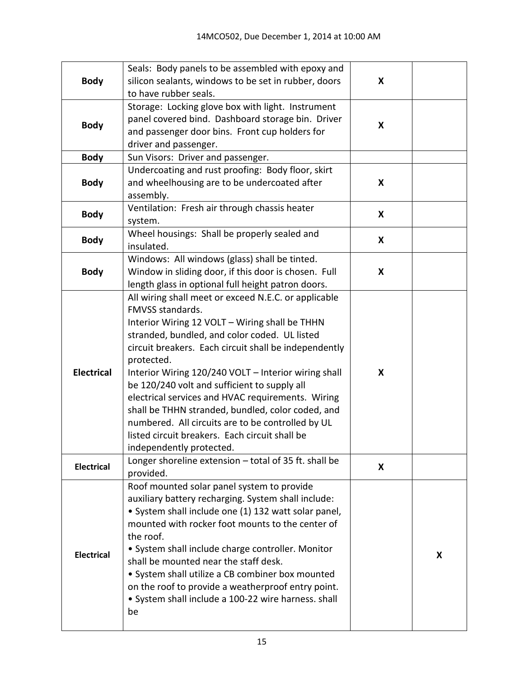|                   | Seals: Body panels to be assembled with epoxy and     |   |   |
|-------------------|-------------------------------------------------------|---|---|
| <b>Body</b>       | silicon sealants, windows to be set in rubber, doors  | X |   |
|                   | to have rubber seals.                                 |   |   |
|                   | Storage: Locking glove box with light. Instrument     |   |   |
|                   | panel covered bind. Dashboard storage bin. Driver     | X |   |
| <b>Body</b>       | and passenger door bins. Front cup holders for        |   |   |
|                   | driver and passenger.                                 |   |   |
| <b>Body</b>       | Sun Visors: Driver and passenger.                     |   |   |
|                   | Undercoating and rust proofing: Body floor, skirt     |   |   |
| <b>Body</b>       | and wheelhousing are to be undercoated after          | X |   |
|                   | assembly.                                             |   |   |
| <b>Body</b>       | Ventilation: Fresh air through chassis heater         | X |   |
|                   | system.                                               |   |   |
|                   | Wheel housings: Shall be properly sealed and          | X |   |
| <b>Body</b>       | insulated.                                            |   |   |
|                   | Windows: All windows (glass) shall be tinted.         |   |   |
| <b>Body</b>       | Window in sliding door, if this door is chosen. Full  | X |   |
|                   | length glass in optional full height patron doors.    |   |   |
|                   | All wiring shall meet or exceed N.E.C. or applicable  |   |   |
|                   | FMVSS standards.                                      |   |   |
|                   | Interior Wiring 12 VOLT - Wiring shall be THHN        |   |   |
|                   | stranded, bundled, and color coded. UL listed         |   |   |
|                   | circuit breakers. Each circuit shall be independently |   |   |
|                   | protected.                                            |   |   |
| <b>Electrical</b> | Interior Wiring 120/240 VOLT - Interior wiring shall  | X |   |
|                   | be 120/240 volt and sufficient to supply all          |   |   |
|                   | electrical services and HVAC requirements. Wiring     |   |   |
|                   | shall be THHN stranded, bundled, color coded, and     |   |   |
|                   | numbered. All circuits are to be controlled by UL     |   |   |
|                   | listed circuit breakers. Each circuit shall be        |   |   |
|                   | independently protected.                              |   |   |
| <b>Electrical</b> | Longer shoreline extension - total of 35 ft. shall be | X |   |
|                   | provided.                                             |   |   |
|                   | Roof mounted solar panel system to provide            |   |   |
|                   | auxiliary battery recharging. System shall include:   |   |   |
|                   | • System shall include one (1) 132 watt solar panel,  |   |   |
|                   | mounted with rocker foot mounts to the center of      |   |   |
|                   | the roof.                                             |   |   |
| <b>Electrical</b> | · System shall include charge controller. Monitor     |   | X |
|                   | shall be mounted near the staff desk.                 |   |   |
|                   | • System shall utilize a CB combiner box mounted      |   |   |
|                   | on the roof to provide a weatherproof entry point.    |   |   |
|                   | • System shall include a 100-22 wire harness. shall   |   |   |
|                   | be                                                    |   |   |
|                   |                                                       |   |   |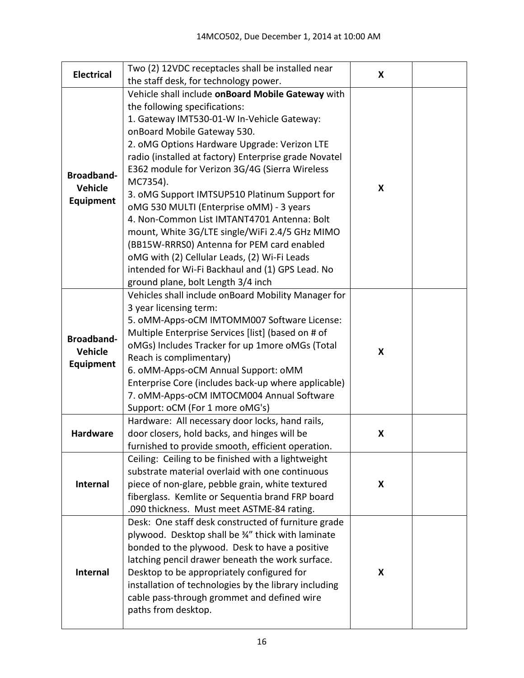| <b>Electrical</b> | Two (2) 12VDC receptacles shall be installed near                                  | X |  |
|-------------------|------------------------------------------------------------------------------------|---|--|
|                   | the staff desk, for technology power.                                              |   |  |
|                   | Vehicle shall include onBoard Mobile Gateway with                                  |   |  |
|                   | the following specifications:                                                      |   |  |
|                   | 1. Gateway IMT530-01-W In-Vehicle Gateway:                                         |   |  |
|                   | onBoard Mobile Gateway 530.                                                        |   |  |
|                   | 2. oMG Options Hardware Upgrade: Verizon LTE                                       |   |  |
|                   | radio (installed at factory) Enterprise grade Novatel                              |   |  |
| <b>Broadband-</b> | E362 module for Verizon 3G/4G (Sierra Wireless                                     |   |  |
| <b>Vehicle</b>    | MC7354).                                                                           | X |  |
| Equipment         | 3. oMG Support IMTSUP510 Platinum Support for                                      |   |  |
|                   | oMG 530 MULTI (Enterprise oMM) - 3 years                                           |   |  |
|                   | 4. Non-Common List IMTANT4701 Antenna: Bolt                                        |   |  |
|                   | mount, White 3G/LTE single/WiFi 2.4/5 GHz MIMO                                     |   |  |
|                   | (BB15W-RRRS0) Antenna for PEM card enabled                                         |   |  |
|                   | oMG with (2) Cellular Leads, (2) Wi-Fi Leads                                       |   |  |
|                   | intended for Wi-Fi Backhaul and (1) GPS Lead. No                                   |   |  |
|                   | ground plane, bolt Length 3/4 inch                                                 |   |  |
|                   | Vehicles shall include onBoard Mobility Manager for                                |   |  |
|                   | 3 year licensing term:                                                             |   |  |
|                   | 5. oMM-Apps-oCM IMTOMM007 Software License:                                        |   |  |
| <b>Broadband-</b> | Multiple Enterprise Services [list] (based on # of                                 |   |  |
| Vehicle           | oMGs) Includes Tracker for up 1more oMGs (Total                                    | X |  |
| Equipment         | Reach is complimentary)                                                            |   |  |
|                   | 6. oMM-Apps-oCM Annual Support: oMM                                                |   |  |
|                   | Enterprise Core (includes back-up where applicable)                                |   |  |
|                   | 7. oMM-Apps-oCM IMTOCM004 Annual Software                                          |   |  |
|                   | Support: oCM (For 1 more oMG's)<br>Hardware: All necessary door locks, hand rails, |   |  |
| <b>Hardware</b>   | door closers, hold backs, and hinges will be                                       | X |  |
|                   | furnished to provide smooth, efficient operation.                                  |   |  |
|                   | Ceiling: Ceiling to be finished with a lightweight                                 |   |  |
|                   | substrate material overlaid with one continuous                                    |   |  |
| Internal          | piece of non-glare, pebble grain, white textured                                   | X |  |
|                   | fiberglass. Kemlite or Sequentia brand FRP board                                   |   |  |
|                   | .090 thickness. Must meet ASTME-84 rating.                                         |   |  |
|                   | Desk: One staff desk constructed of furniture grade                                |   |  |
|                   | plywood. Desktop shall be 34" thick with laminate                                  |   |  |
|                   | bonded to the plywood. Desk to have a positive                                     |   |  |
| Internal          | latching pencil drawer beneath the work surface.                                   |   |  |
|                   | Desktop to be appropriately configured for                                         | X |  |
|                   | installation of technologies by the library including                              |   |  |
|                   | cable pass-through grommet and defined wire                                        |   |  |
|                   | paths from desktop.                                                                |   |  |
|                   |                                                                                    |   |  |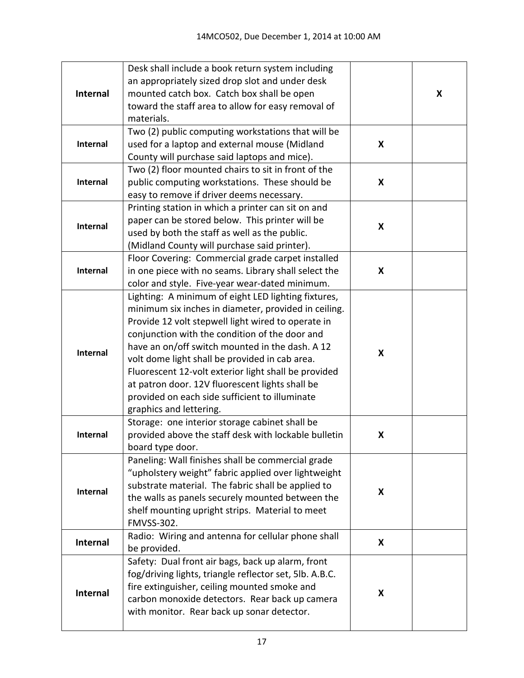|                 | Desk shall include a book return system including<br>an appropriately sized drop slot and under desk |   |   |
|-----------------|------------------------------------------------------------------------------------------------------|---|---|
| <b>Internal</b> | mounted catch box. Catch box shall be open                                                           |   | X |
|                 | toward the staff area to allow for easy removal of                                                   |   |   |
|                 | materials.                                                                                           |   |   |
|                 | Two (2) public computing workstations that will be                                                   |   |   |
| Internal        | used for a laptop and external mouse (Midland                                                        | X |   |
|                 | County will purchase said laptops and mice).                                                         |   |   |
| Internal        | Two (2) floor mounted chairs to sit in front of the                                                  |   |   |
|                 | public computing workstations. These should be<br>easy to remove if driver deems necessary.          | X |   |
|                 | Printing station in which a printer can sit on and                                                   |   |   |
|                 | paper can be stored below. This printer will be                                                      |   |   |
| Internal        | used by both the staff as well as the public.                                                        | X |   |
|                 | (Midland County will purchase said printer).                                                         |   |   |
|                 | Floor Covering: Commercial grade carpet installed                                                    |   |   |
| <b>Internal</b> | in one piece with no seams. Library shall select the                                                 | X |   |
|                 | color and style. Five-year wear-dated minimum.                                                       |   |   |
|                 | Lighting: A minimum of eight LED lighting fixtures,                                                  |   |   |
|                 | minimum six inches in diameter, provided in ceiling.                                                 |   |   |
|                 | Provide 12 volt stepwell light wired to operate in                                                   |   |   |
|                 | conjunction with the condition of the door and                                                       |   |   |
|                 | have an on/off switch mounted in the dash. A 12                                                      |   |   |
| Internal        | volt dome light shall be provided in cab area.                                                       | X |   |
|                 | Fluorescent 12-volt exterior light shall be provided                                                 |   |   |
|                 | at patron door. 12V fluorescent lights shall be                                                      |   |   |
|                 | provided on each side sufficient to illuminate                                                       |   |   |
|                 | graphics and lettering.                                                                              |   |   |
|                 | Storage: one interior storage cabinet shall be                                                       |   |   |
| Internal        | provided above the staff desk with lockable bulletin                                                 | X |   |
|                 | board type door.                                                                                     |   |   |
|                 | Paneling: Wall finishes shall be commercial grade                                                    |   |   |
|                 | "upholstery weight" fabric applied over lightweight                                                  |   |   |
| Internal        | substrate material. The fabric shall be applied to                                                   | X |   |
|                 | the walls as panels securely mounted between the                                                     |   |   |
|                 | shelf mounting upright strips. Material to meet<br><b>FMVSS-302.</b>                                 |   |   |
|                 | Radio: Wiring and antenna for cellular phone shall                                                   |   |   |
| Internal        | be provided.                                                                                         | X |   |
|                 | Safety: Dual front air bags, back up alarm, front                                                    |   |   |
|                 | fog/driving lights, triangle reflector set, 5lb. A.B.C.                                              |   |   |
| <b>Internal</b> | fire extinguisher, ceiling mounted smoke and                                                         |   |   |
|                 | carbon monoxide detectors. Rear back up camera                                                       | X |   |
|                 | with monitor. Rear back up sonar detector.                                                           |   |   |
|                 |                                                                                                      |   |   |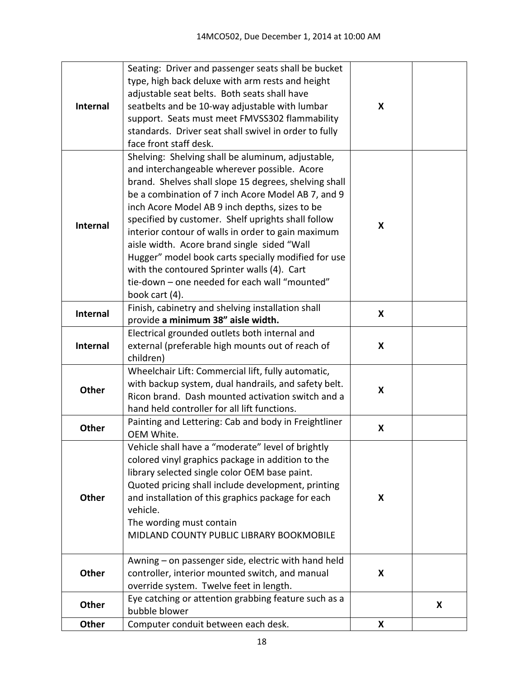| <b>Internal</b> | Seating: Driver and passenger seats shall be bucket<br>type, high back deluxe with arm rests and height<br>adjustable seat belts. Both seats shall have<br>seatbelts and be 10-way adjustable with lumbar<br>support. Seats must meet FMVSS302 flammability<br>standards. Driver seat shall swivel in order to fully<br>face front staff desk.                                                                                                                                                                                                                                                         | X |   |
|-----------------|--------------------------------------------------------------------------------------------------------------------------------------------------------------------------------------------------------------------------------------------------------------------------------------------------------------------------------------------------------------------------------------------------------------------------------------------------------------------------------------------------------------------------------------------------------------------------------------------------------|---|---|
| <b>Internal</b> | Shelving: Shelving shall be aluminum, adjustable,<br>and interchangeable wherever possible. Acore<br>brand. Shelves shall slope 15 degrees, shelving shall<br>be a combination of 7 inch Acore Model AB 7, and 9<br>inch Acore Model AB 9 inch depths, sizes to be<br>specified by customer. Shelf uprights shall follow<br>interior contour of walls in order to gain maximum<br>aisle width. Acore brand single sided "Wall<br>Hugger" model book carts specially modified for use<br>with the contoured Sprinter walls (4). Cart<br>tie-down - one needed for each wall "mounted"<br>book cart (4). | X |   |
| <b>Internal</b> | Finish, cabinetry and shelving installation shall<br>provide a minimum 38" aisle width.                                                                                                                                                                                                                                                                                                                                                                                                                                                                                                                | X |   |
| <b>Internal</b> | Electrical grounded outlets both internal and<br>external (preferable high mounts out of reach of<br>children)                                                                                                                                                                                                                                                                                                                                                                                                                                                                                         | X |   |
| <b>Other</b>    | Wheelchair Lift: Commercial lift, fully automatic,<br>with backup system, dual handrails, and safety belt.<br>Ricon brand. Dash mounted activation switch and a<br>hand held controller for all lift functions.                                                                                                                                                                                                                                                                                                                                                                                        | X |   |
| <b>Other</b>    | Painting and Lettering: Cab and body in Freightliner<br>OEM White.                                                                                                                                                                                                                                                                                                                                                                                                                                                                                                                                     | X |   |
| Other           | Vehicle shall have a "moderate" level of brightly<br>colored vinyl graphics package in addition to the<br>library selected single color OEM base paint.<br>Quoted pricing shall include development, printing<br>and installation of this graphics package for each<br>vehicle.<br>The wording must contain<br>MIDLAND COUNTY PUBLIC LIBRARY BOOKMOBILE                                                                                                                                                                                                                                                | X |   |
| Other           | Awning – on passenger side, electric with hand held<br>controller, interior mounted switch, and manual<br>override system. Twelve feet in length.                                                                                                                                                                                                                                                                                                                                                                                                                                                      | X |   |
| Other           | Eye catching or attention grabbing feature such as a<br>bubble blower                                                                                                                                                                                                                                                                                                                                                                                                                                                                                                                                  |   | X |
| Other           | Computer conduit between each desk.                                                                                                                                                                                                                                                                                                                                                                                                                                                                                                                                                                    | X |   |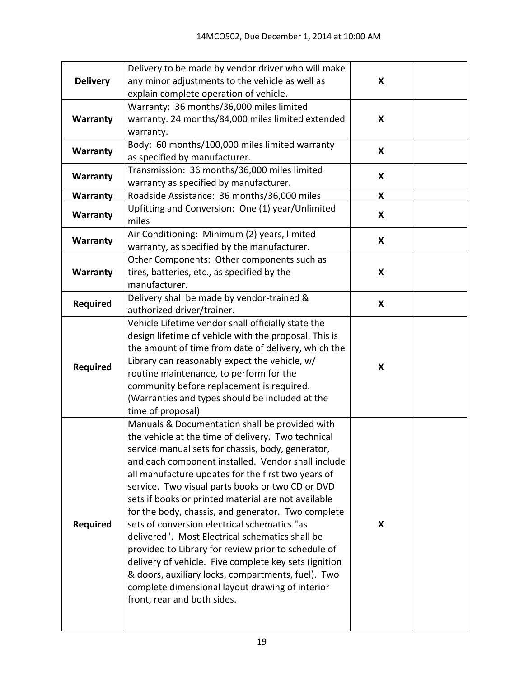|                 | Delivery to be made by vendor driver who will make    |   |  |
|-----------------|-------------------------------------------------------|---|--|
| <b>Delivery</b> | any minor adjustments to the vehicle as well as       | X |  |
|                 | explain complete operation of vehicle.                |   |  |
|                 | Warranty: 36 months/36,000 miles limited              |   |  |
| Warranty        | warranty. 24 months/84,000 miles limited extended     | X |  |
|                 | warranty.                                             |   |  |
| Warranty        | Body: 60 months/100,000 miles limited warranty        | X |  |
|                 | as specified by manufacturer.                         |   |  |
| Warranty        | Transmission: 36 months/36,000 miles limited          | X |  |
|                 | warranty as specified by manufacturer.                |   |  |
| Warranty        | Roadside Assistance: 36 months/36,000 miles           | X |  |
| Warranty        | Upfitting and Conversion: One (1) year/Unlimited      | X |  |
|                 | miles                                                 |   |  |
| Warranty        | Air Conditioning: Minimum (2) years, limited          | X |  |
|                 | warranty, as specified by the manufacturer.           |   |  |
|                 | Other Components: Other components such as            |   |  |
| Warranty        | tires, batteries, etc., as specified by the           | X |  |
|                 | manufacturer.                                         |   |  |
| <b>Required</b> | Delivery shall be made by vendor-trained &            | X |  |
|                 | authorized driver/trainer.                            |   |  |
|                 | Vehicle Lifetime vendor shall officially state the    |   |  |
|                 | design lifetime of vehicle with the proposal. This is |   |  |
|                 | the amount of time from date of delivery, which the   |   |  |
| <b>Required</b> | Library can reasonably expect the vehicle, w/         | X |  |
|                 | routine maintenance, to perform for the               |   |  |
|                 | community before replacement is required.             |   |  |
|                 | (Warranties and types should be included at the       |   |  |
|                 | time of proposal)                                     |   |  |
|                 | Manuals & Documentation shall be provided with        |   |  |
|                 | the vehicle at the time of delivery. Two technical    |   |  |
|                 | service manual sets for chassis, body, generator,     |   |  |
|                 | and each component installed. Vendor shall include    |   |  |
|                 | all manufacture updates for the first two years of    |   |  |
|                 | service. Two visual parts books or two CD or DVD      |   |  |
|                 | sets if books or printed material are not available   |   |  |
|                 | for the body, chassis, and generator. Two complete    |   |  |
| <b>Required</b> | sets of conversion electrical schematics "as          | X |  |
|                 | delivered". Most Electrical schematics shall be       |   |  |
|                 | provided to Library for review prior to schedule of   |   |  |
|                 | delivery of vehicle. Five complete key sets (ignition |   |  |
|                 | & doors, auxiliary locks, compartments, fuel). Two    |   |  |
|                 | complete dimensional layout drawing of interior       |   |  |
|                 | front, rear and both sides.                           |   |  |
|                 |                                                       |   |  |
|                 |                                                       |   |  |